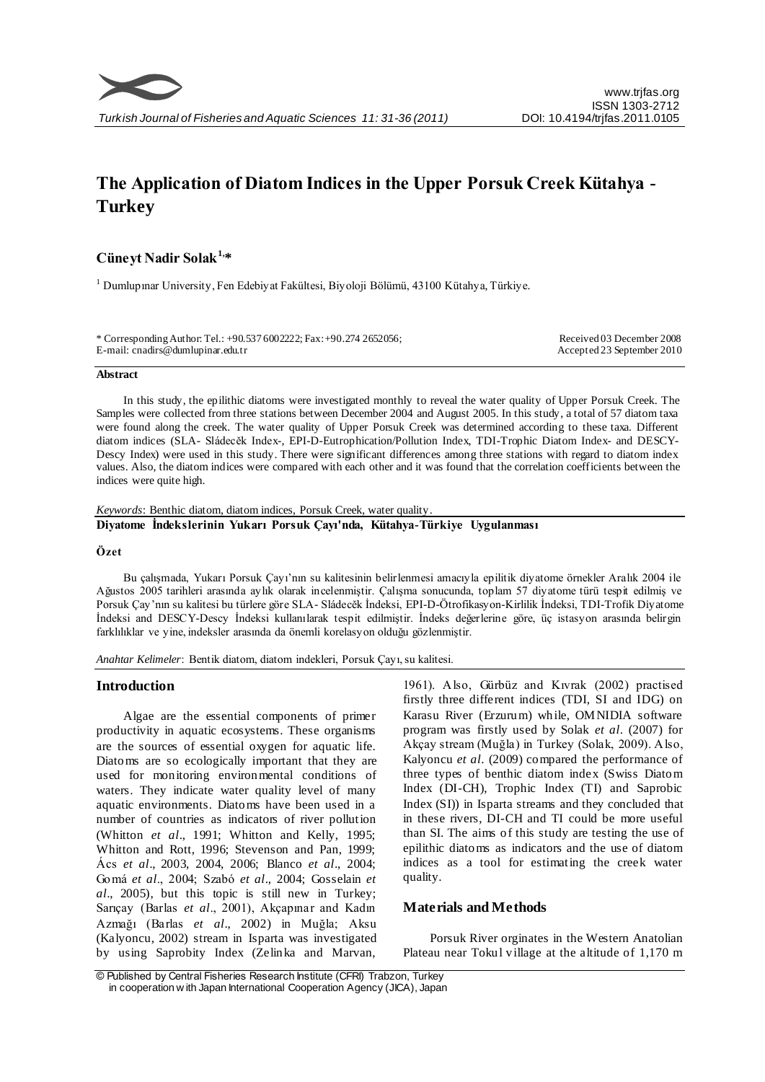# **The Application of Diatom Indices in the Upper Porsuk Creek Kütahya - Turkey**

# **Cüneyt Nadir Solak1,\***

<sup>1</sup> Dumlupınar University, Fen Edebiyat Fakültesi, Biyoloji Bölümü, 43100 Kütahya, Türkiye.

| * Corresponding Author: Tel.: +90.537 6002222; Fax: +90.274 2652056; | Received 03 December 2008  |
|----------------------------------------------------------------------|----------------------------|
| E-mail: cnadirs@dumlupinar.edu.tr                                    | Accepted 23 September 2010 |
|                                                                      |                            |

#### **Abstract**

In this study, the epilithic diatoms were investigated monthly to reveal the water quality of Upper Porsuk Creek. The Samples were collected from three stations between December 2004 and August 2005. In this study, a total of 57 diatom taxa were found along the creek. The water quality of Upper Porsuk Creek was determined according to these taxa. Different diatom indices (SLA- Sládecěk Index-, EPI-D-Eutrophication/Pollution Index, TDI-Trophic Diatom Index- and DESCY-Descy Index) were used in this study. There were significant differences among three stations with regard to diatom index values. Also, the diatom indices were compared with each other and it was found that the correlation coefficients between the indices were quite high.

*Keywords*: Benthic diatom, diatom indices, Porsuk Creek, water quality.

# **Diyatome İndekslerinin Yukarı Porsuk Çayı'nda, Kütahya-Türkiye Uygulanması**

## **Özet**

Bu çalışmada, Yukarı Porsuk Çayı'nın su kalitesinin belirlenmesi amacıyla epilitik diyatome örnekler Aralık 2004 ile Ağustos 2005 tarihleri arasında aylık olarak incelenmiştir. Çalışma sonucunda, toplam 57 diyatome türü tespit edilmiş ve Porsuk Çay'nın su kalitesi bu türlere göre SLA- Sládecěk İndeksi, EPI-D-Ötrofikasyon-Kirlilik İndeksi, TDI-Trofik Diyatome İndeksi and DESCY-Descy İndeksi kullanılarak tespit edilmiştir. İndeks değerlerine göre, üç istasyon arasında belirgin farklılıklar ve yine, indeksler arasında da önemli korelasyon olduğu gözlenmiştir.

*Anahtar Kelimeler*: Bentik diatom, diatom indekleri, Porsuk Çayı, su kalitesi.

## **Introduction**

Algae are the essential components of primer productivity in aquatic ecosystems. These organisms are the sources of essential oxygen for aquatic life. Diatoms are so ecologically important that they are used for monitoring environmental conditions of waters. They indicate water quality level of many aquatic environments. Diatoms have been used in a number of countries as indicators of river pollution (Whitton *et al*., 1991; Whitton and Kelly, 1995; Whitton and Rott, 1996; Stevenson and Pan, 1999; Ács *et al*., 2003, 2004, 2006; Blanco *et al*., 2004; Gomá *et al*., 2004; Szabó *et al*., 2004; Gosselain *et al*., 2005), but this topic is still new in Turkey; Sarıçay (Barlas *et al*., 2001), Akçapınar and Kadın Azmağı (Barlas *et al*., 2002) in Muğla; Aksu (Kalyoncu, 2002) stream in Isparta was investigated by using Saprobity Index (Zelinka and Marvan,

1961). Also, Gürbüz and Kıvrak (2002) practised firstly three different indices (TDI, SI and IDG) on Karasu River (Erzurum) while, OMNIDIA software program was firstly used by Solak *et al*. (2007) for Akçay stream (Muğla) in Turkey (Solak, 2009). Also, Kalyoncu *et al*. (2009) compared the performance of three types of benthic diatom index (Swiss Diatom Index (DI-CH), Trophic Index (TI) and Saprobic Index (SI)) in Isparta streams and they concluded that in these rivers, DI-CH and TI could be more useful than SI. The aims of this study are testing the use of epilithic diatoms as indicators and the use of diatom indices as a tool for estimating the creek water quality.

# **Materials and Methods**

Porsuk River orginates in the Western Anatolian Plateau near Tokul village at the altitude of 1,170 m

<sup>©</sup> Published by Central Fisheries Research Institute (CFRI) Trabzon, Turkey in cooperation w ith Japan International Cooperation Agency (JICA), Japan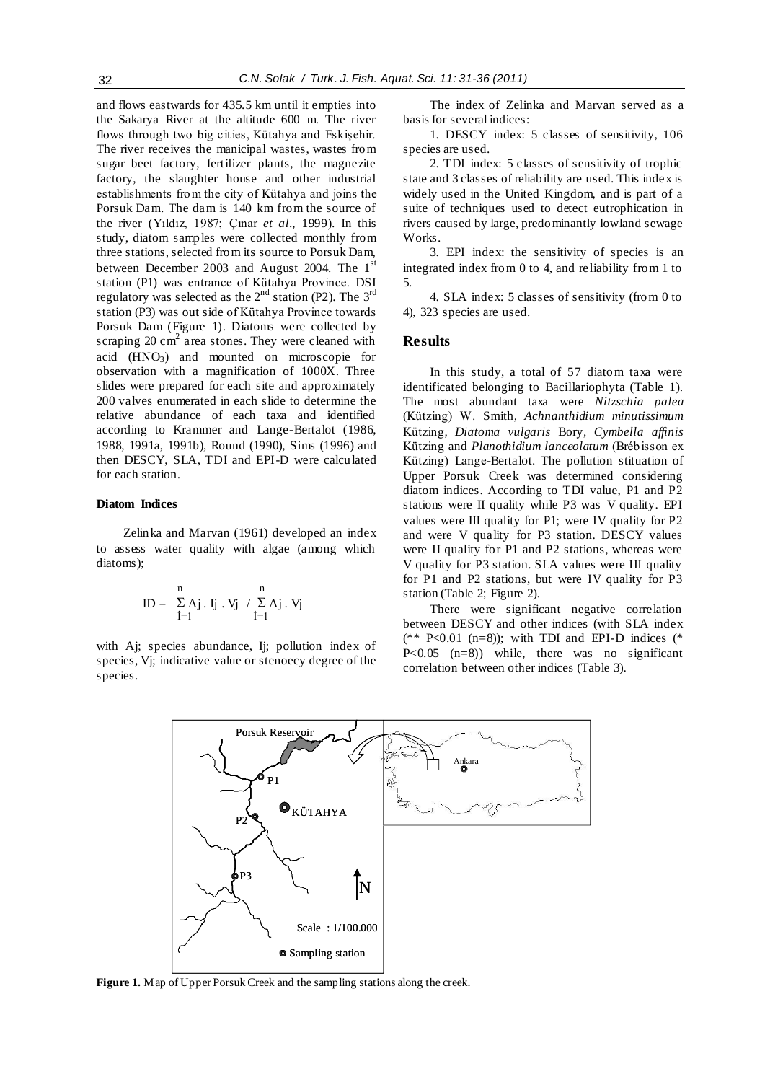and flows eastwards for 435.5 km until it empties into the Sakarya River at the altitude 600 m. The river flows through two big cities, Kütahya and Eskişehir. The river receives the manicipal wastes, wastes from sugar beet factory, fertilizer plants, the magnezite factory, the slaughter house and other industrial establishments from the city of Kütahya and joins the Porsuk Dam. The dam is 140 km from the source of the river (Yıldız, 1987; Çınar *et al*., 1999). In this study, diatom samples were collected monthly from three stations, selected from its source to Porsuk Dam, between December 2003 and August 2004. The 1<sup>st</sup> station (P1) was entrance of Kütahya Province. DSI regulatory was selected as the  $2<sup>nd</sup>$  station (P2). The  $3<sup>rd</sup>$ station (P3) was out side of Kütahya Province towards Porsuk Dam (Figure 1). Diatoms were collected by scraping  $20 \text{ cm}^2$  area stones. They were cleaned with acid  $(HNO<sub>3</sub>)$  and mounted on microscopie for observation with a magnification of 1000X. Three slides were prepared for each site and approximately 200 valves enumerated in each slide to determine the relative abundance of each taxa and identified according to Krammer and Lange-Bertalot (1986, 1988, 1991a, 1991b), Round (1990), Sims (1996) and then DESCY, SLA, TDI and EPI-D were calculated for each station.

## **Diatom Indices**

Zelinka and Marvan (1961) developed an index to assess water quality with algae (among which diatoms);

$$
ID = \begin{array}{c} n \\ \sum\limits_{i=1}^{n} Aj \ . \ Ij \ . \ Vj \ \ / \ \sum\limits_{i=1}^{n} Aj \ . \ Vj \end{array}
$$

with Aj; species abundance, Ij; pollution index of species, Vj; indicative value or stenoecy degree of the species.

The index of Zelinka and Marvan served as a basis for several indices:

1. DESCY index: 5 classes of sensitivity, 106 species are used.

2. TDI index: 5 classes of sensitivity of trophic state and 3 classes of reliability are used. This index is widely used in the United Kingdom, and is part of a suite of techniques used to detect eutrophication in rivers caused by large, predominantly lowland sewage Works.

3. EPI index: the sensitivity of species is an integrated index from 0 to 4, and reliability from 1 to 5.

4. SLA index: 5 classes of sensitivity (from 0 to 4), 323 species are used.

### **Results**

In this study, a total of 57 diatom taxa were identificated belonging to Bacillariophyta (Table 1). The most abundant taxa were *Nitzschia palea*  (Kützing) W. Smith*, Achnanthidium minutissimum* Kützing*, Diatoma vulgaris* Bory*, Cymbella affinis* Kützing and *Planothidium lanceolatum* (Brébisson ex Kützing) Lange-Bertalot. The pollution stituation of Upper Porsuk Creek was determined considering diatom indices. According to TDI value, P1 and P2 stations were II quality while P3 was V quality. EPI values were III quality for P1; were IV quality for P2 and were V quality for P3 station. DESCY values were II quality for P1 and P2 stations, whereas were V quality for P3 station. SLA values were III quality for P1 and P2 stations, but were IV quality for P3 station (Table 2; Figure 2).

There were significant negative correlation between DESCY and other indices (with SLA index (\*\* P<0.01 (n=8)); with TDI and EPI-D indices (\* P<0.05 (n=8)) while, there was no significant correlation between other indices (Table 3).



**Figure 1.** Map of Upper Porsuk Creek and the sampling stations along the creek.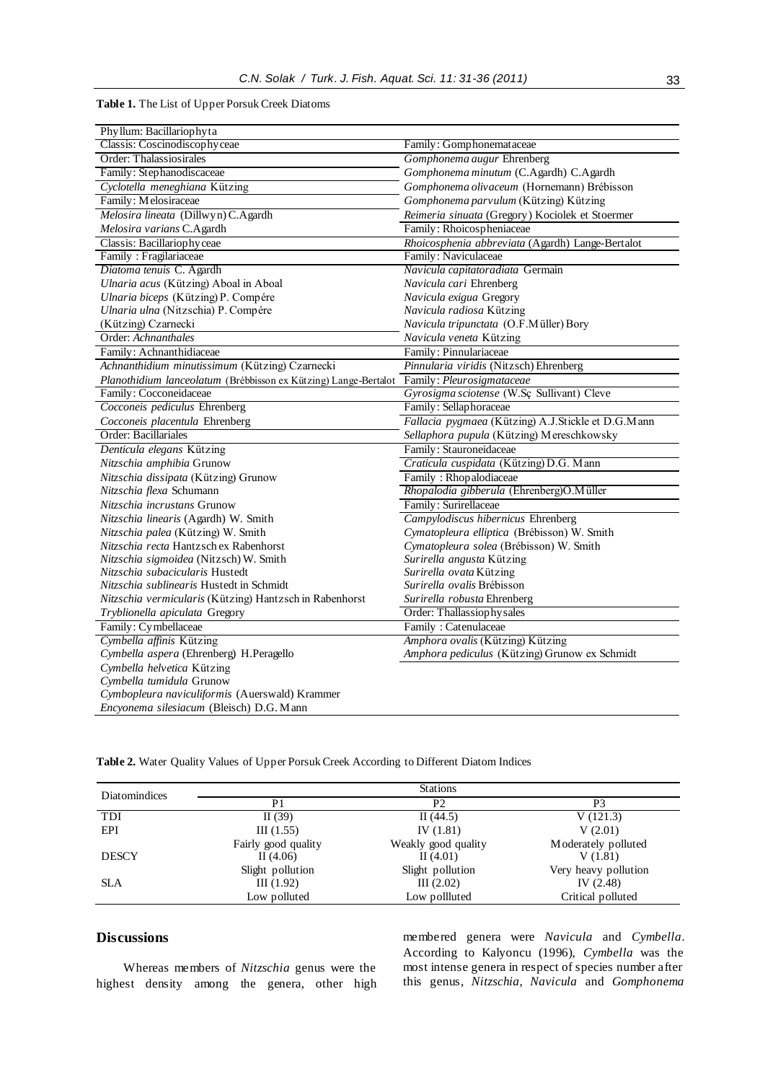### **Table 1.** The List of Upper Porsuk Creek Diatoms

| Phyllum: Bacillariophyta                                        |                                                    |  |  |
|-----------------------------------------------------------------|----------------------------------------------------|--|--|
| Classis: Coscinodiscophyceae                                    | Family: Gomphonemataceae                           |  |  |
| Order: Thalassiosirales                                         | Gomphonema augur Ehrenberg                         |  |  |
| Family: Stephanodiscaceae                                       | Gomphonema minutum (C.Agardh) C.Agardh             |  |  |
| Cyclotella meneghiana Kützing                                   | Gomphonema olivaceum (Hornemann) Brébisson         |  |  |
| Family: Melosiraceae                                            | Gomphonema parvulum (Kützing) Kützing              |  |  |
| Melosira lineata (Dillwyn) C.Agardh                             | Reimeria sinuata (Gregory) Kociolek et Stoermer    |  |  |
| Melosira varians C.Agardh                                       | Family: Rhoicospheniaceae                          |  |  |
| Classis: Bacillariophyceae                                      | Rhoicosphenia abbreviata (Agardh) Lange-Bertalot   |  |  |
| Family: Fragilariaceae                                          | Family: Naviculaceae                               |  |  |
| Diatoma tenuis C. Agardh                                        | Navicula capitatoradiata Germain                   |  |  |
| Ulnaria acus (Kützing) Aboal in Aboal                           | Navicula cari Ehrenberg                            |  |  |
| Ulnaria biceps (Kützing) P. Compére                             | Navicula exigua Gregory                            |  |  |
| Ulnaria ulna (Nitzschia) P. Compére                             | Navicula radiosa Kützing                           |  |  |
| (Kützing) Czarnecki                                             | Navicula tripunctata (O.F.Müller) Bory             |  |  |
| Order: Achnanthales                                             | Navicula veneta Kützing                            |  |  |
| Family: Achnanthidiaceae                                        | Family: Pinnulariaceae                             |  |  |
| Achnanthidium minutissimum (Kützing) Czarnecki                  | Pinnularia viridis (Nitzsch) Ehrenberg             |  |  |
| Planothidium lanceolatum (Brébbisson ex Kützing) Lange-Bertalot | Family: Pleurosigmataceae                          |  |  |
| Family: Cocconeidaceae                                          | Gyrosigma sciotense (W.Sç Sullivant) Cleve         |  |  |
| Cocconeis pediculus Ehrenberg                                   | Family: Sellaphoraceae                             |  |  |
| Cocconeis placentula Ehrenberg                                  | Fallacia pygmaea (Kützing) A.J.Stickle et D.G.Mann |  |  |
| Order: Bacillariales                                            | Sellaphora pupula (Kützing) Mereschkowsky          |  |  |
| Denticula elegans Kützing                                       | Family: Stauroneidaceae                            |  |  |
| Nitzschia amphibia Grunow                                       | Craticula cuspidata (Kützing) D.G. Mann            |  |  |
| Nitzschia dissipata (Kützing) Grunow                            | Family: Rhopalodiaceae                             |  |  |
| Nitzschia flexa Schumann                                        | Rhopalodia gibberula (Ehrenberg)O.Müller           |  |  |
| Nitzschia incrustans Grunow                                     | Family: Surirellaceae                              |  |  |
| Nitzschia linearis (Agardh) W. Smith                            | Campylodiscus hibernicus Ehrenberg                 |  |  |
| Nitzschia palea (Kützing) W. Smith                              | Cymatopleura elliptica (Brébisson) W. Smith        |  |  |
| Nitzschia recta Hantzsch ex Rabenhorst                          | Cymatopleura solea (Brébisson) W. Smith            |  |  |
| Nitzschia sigmoidea (Nitzsch) W. Smith                          | Surirella angusta Kützing                          |  |  |
| Nitzschia subacicularis Hustedt                                 | Surirella ovata Kützing                            |  |  |
| Nitzschia sublinearis Hustedt in Schmidt                        | <i>Surirella ovalis</i> Brébisson                  |  |  |
| Nitzschia vermicularis (Kützing) Hantzsch in Rabenhorst         | Surirella robusta Ehrenberg                        |  |  |
| Tryblionella apiculata Gregory                                  | Order: Thallassiophy sales                         |  |  |
| Family: Cymbellaceae                                            | Family: Catenulaceae                               |  |  |
| Cymbella affinis Kützing                                        | Amphora ovalis (Kützing) Kützing                   |  |  |
| Cymbella aspera (Ehrenberg) H.Peragello                         | Amphora pediculus (Kützing) Grunow ex Schmidt      |  |  |
| Cymbella helvetica Kützing                                      |                                                    |  |  |
| Cymbella tumidula Grunow                                        |                                                    |  |  |
| Cymbopleura naviculiformis (Auerswald) Krammer                  |                                                    |  |  |
| Encyonema silesiacum (Bleisch) D.G. Mann                        |                                                    |  |  |

| <b>Diatomindices</b> |                                    | <b>Stations</b>                    |                                |
|----------------------|------------------------------------|------------------------------------|--------------------------------|
|                      | P <sub>1</sub>                     | P2                                 | P3                             |
| TDI                  | II $(39)$                          | II $(44.5)$                        | V(121.3)                       |
| EPI                  | III(1.55)                          | IV $(1.81)$                        | V(2.01)                        |
| <b>DESCY</b>         | Fairly good quality<br>II $(4.06)$ | Weakly good quality<br>II $(4.01)$ | Moderately polluted<br>V(1.81) |
|                      | Slight pollution                   | Slight pollution                   | Very heavy pollution           |
| <b>SLA</b>           | III(1.92)                          | III (2.02)                         | IV $(2.48)$                    |
|                      | Low polluted                       | Low pollluted                      | Critical polluted              |

**Table 2.** Water Quality Values of Upper Porsuk Creek According to Different Diatom Indices

# **Discussions**

Whereas members of *Nitzschia* genus were the highest density among the genera, other high membered genera were *Navicula* and *Cymbella*. According to Kalyoncu (1996), *Cymbella* was the most intense genera in respect of species number after this genus, *Nitzschia, Navicula* and *Gomphonema*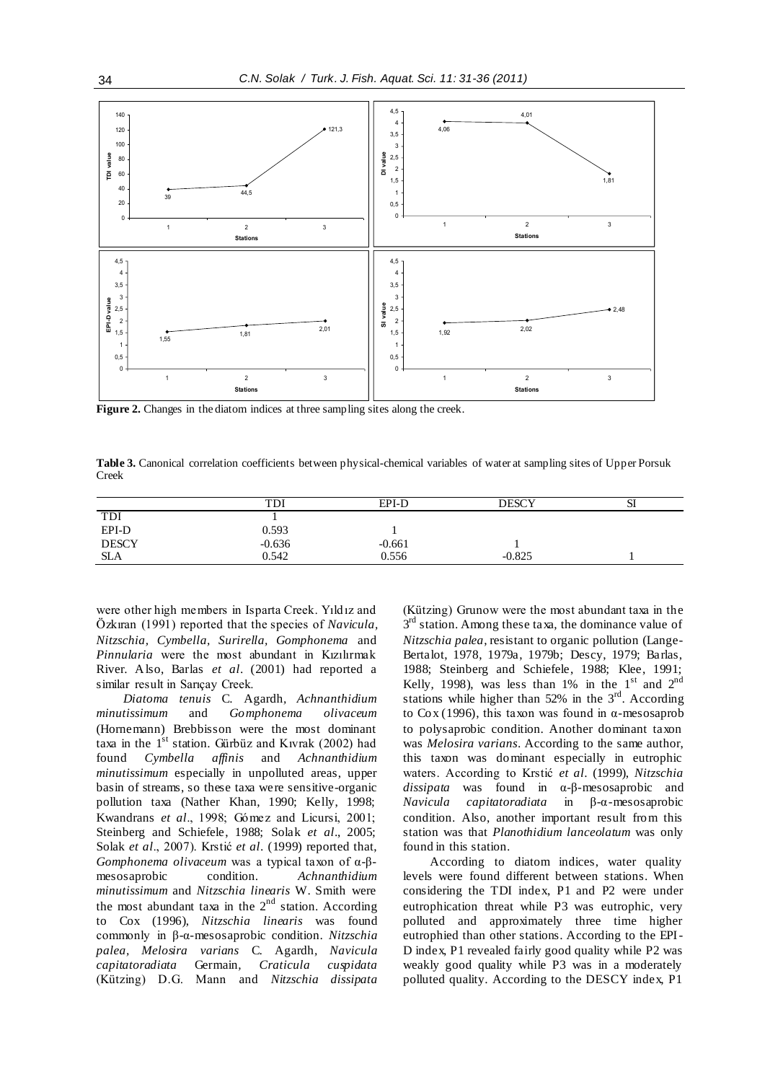

Figure 2. Changes in the diatom indices at three sampling sites along the creek.

**Table 3.** Canonical correlation coefficients between physical-chemical variables of water at sampling sites of Upper Porsuk Creek

|              | TDl      | EPI-D    | DESCY    | м |
|--------------|----------|----------|----------|---|
| <b>TDI</b>   |          |          |          |   |
| EPI-D        | 0.593    |          |          |   |
| <b>DESCY</b> | $-0.636$ | $-0.661$ |          |   |
| <b>SLA</b>   | 0.542    | 0.556    | $-0.825$ |   |

were other high members in Isparta Creek. Yıldız and Özkıran (1991) reported that the species of *Navicula, Nitzschia, Cymbella, Surirella, Gomphonema* and *Pinnularia* were the most abundant in Kızılırmak River. Also, Barlas *et al*. (2001) had reported a similar result in Sarıçay Creek.

*Diatoma tenuis* C. Agardh*, Achnanthidium minutissimum* and *Gomphonema olivaceum*  (Hornemann) Brebbisson were the most dominant taxa in the  $1<sup>st</sup>$  station. Gürbüz and Kıvrak (2002) had found *Cymbella affinis* and *Achnanthidium minutissimum* especially in unpolluted areas, upper basin of streams, so these taxa were sensitive-organic pollution taxa (Nather Khan, 1990; Kelly, 1998; Kwandrans *et al*., 1998; Gómez and Licursi, 2001; Steinberg and Schiefele, 1988; Solak *et al*., 2005; Solak *et al*., 2007). Krstić *et al*. (1999) reported that, *Gomphonema olivaceum* was a typical taxon of α-βmesosaprobic condition. *Achnanthidium minutissimum* and *Nitzschia linearis* W. Smith were the most abundant taxa in the  $2<sup>nd</sup>$  station. According to Cox (1996), *Nitzschia linearis* was found commonly in β-α-mesosaprobic condition. *Nitzschia palea, Melosira varians* C. Agardh*, Navicula capitatoradiata* Germain*, Craticula cuspidata* (Kützing) D.G. Mann and *Nitzschia dissipata*  (Kützing) Grunow were the most abundant taxa in the  $3<sup>rd</sup>$  station. Among these taxa, the dominance value of *Nitzschia palea*, resistant to organic pollution (Lange-Bertalot, 1978, 1979a, 1979b; Descy, 1979; Barlas, 1988; Steinberg and Schiefele, 1988; Klee, 1991; Kelly, 1998), was less than 1% in the  $1<sup>st</sup>$  and  $2<sup>nd</sup>$ stations while higher than  $52\%$  in the  $3<sup>rd</sup>$ . According to Cox (1996), this taxon was found in α-mesosaprob to polysaprobic condition. Another dominant taxon was *Melosira varians*. According to the same author, this taxon was dominant especially in eutrophic waters. According to Krstić *et al*. (1999), *Nitzschia dissipata* was found in α-β-mesosaprobic and *Navicula capitatoradiata* in β-α-mesosaprobic condition. Also, another important result from this station was that *Planothidium lanceolatum* was only found in this station.

According to diatom indices, water quality levels were found different between stations. When considering the TDI index, P1 and P2 were under eutrophication threat while P3 was eutrophic, very polluted and approximately three time higher eutrophied than other stations. According to the EPI-D index, P1 revealed fairly good quality while P2 was weakly good quality while P3 was in a moderately polluted quality. According to the DESCY index, P1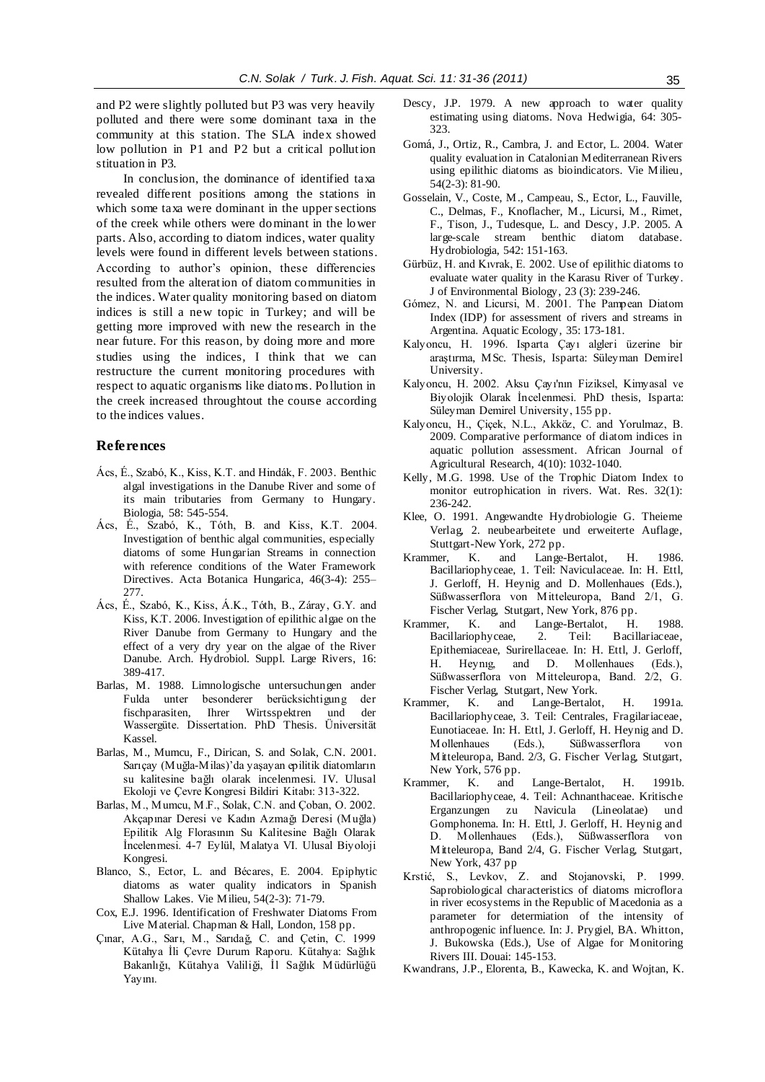and P2 were slightly polluted but P3 was very heavily polluted and there were some dominant taxa in the community at this station. The SLA index showed low pollution in P1 and P2 but a critical pollution stituation in P3.

In conclusion, the dominance of identified taxa revealed different positions among the stations in which some taxa were dominant in the upper sections of the creek while others were dominant in the lower parts. Also, according to diatom indices, water quality levels were found in different levels between stations. According to author's opinion, these differencies resulted from the alteration of diatom communities in the indices. Water quality monitoring based on diatom indices is still a new topic in Turkey; and will be getting more improved with new the research in the near future. For this reason, by doing more and more studies using the indices, I think that we can restructure the current monitoring procedures with respect to aquatic organisms like diatoms. Pollution in the creek increased throughtout the course according to the indices values.

## **References**

- Ács, É., Szabó, K., Kiss, K.T. and Hindák, F. 2003. Benthic algal investigations in the Danube River and some of its main tributaries from Germany to Hungary. Biologia, 58: 545-554.
- Ács, É., Szabó, K., Tóth, B. and Kiss, K.T. 2004. Investigation of benthic algal communities, especially diatoms of some Hungarian Streams in connection with reference conditions of the Water Framework Directives. Acta Botanica Hungarica, 46(3-4): 255– 277.
- Ács, É., Szabó, K., Kiss, Á.K., Tóth, B., Záray, G.Y. and Kiss, K.T. 2006. Investigation of epilithic algae on the River Danube from Germany to Hungary and the effect of a very dry year on the algae of the River Danube. Arch. Hydrobiol. Suppl. Large Rivers, 16: 389-417.
- Barlas, M. 1988. Limnologische untersuchungen ander Fulda unter besonderer berücksichtigung der fischparasiten, Ihrer Wirtsspektren und der Wassergüte. Dissertation. PhD Thesis. Üniversität Kassel.
- Barlas, M., Mumcu, F., Dirican, S. and Solak, C.N. 2001. Sarıçay (Muğla-Milas)'da yaşayan epilitik diatomların su kalitesine bağlı olarak incelenmesi. IV. Ulusal Ekoloji ve Çevre Kongresi Bildiri Kitabı: 313-322.
- Barlas, M., Mumcu, M.F., Solak, C.N. and Çoban, O. 2002. Akçapınar Deresi ve Kadın Azmağı Deresi (Muğla) Epilitik Alg Florasının Su Kalitesine Bağlı Olarak İncelenmesi. 4-7 Eylül, Malatya VI. Ulusal Biyoloji Kongresi.
- Blanco, S., Ector, L. and Bécares, E. 2004. Epiphytic diatoms as water quality indicators in Spanish Shallow Lakes. Vie Milieu, 54(2-3): 71-79.
- Cox, E.J. 1996. Identification of Freshwater Diatoms From Live Material. Chapman & Hall, London, 158 pp.
- Çınar, A.G., Sarı, M., Sarıdağ, C. and Çetin, C. 1999 Kütahya İli Çevre Durum Raporu. Kütahya: Sağlık Bakanlığı, Kütahya Valiliği, İl Sağlık Müdürlüğü Yayını.
- Descy, J.P. 1979. A new approach to water quality estimating using diatoms. Nova Hedwigia, 64: 305- 323.
- Gomá, J., Ortiz, R., Cambra, J. and Ector, L. 2004. Water quality evaluation in Catalonian Mediterranean Rivers using epilithic diatoms as bioindicators. Vie Milieu, 54(2-3): 81-90.
- Gosselain, V., Coste, M., Campeau, S., Ector, L., Fauville, C., Delmas, F., Knoflacher, M., Licursi, M., Rimet, F., Tison, J., Tudesque, L. and Descy, J.P. 2005. A large-scale stream benthic diatom database. Hydrobiologia, 542: 151-163.
- Gürbüz, H. and Kıvrak, E. 2002. Use of epilithic diatoms to evaluate water quality in the Karasu River of Turkey. J of Environmental Biology, 23 (3): 239-246.
- Gόmez, N. and Licursi, M. 2001. The Pampean Diatom Index (IDP) for assessment of rivers and streams in Argentina. Aquatic Ecology, 35: 173-181.
- Kalyoncu, H. 1996. Isparta Çayı algleri üzerine bir araştırma, MSc. Thesis, Isparta: Süleyman Demirel University.
- Kalyoncu, H. 2002. Aksu Çayı'nın Fiziksel, Kimyasal ve Biyolojik Olarak İncelenmesi. PhD thesis, Isparta: Süleyman Demirel University, 155 pp.
- Kalyoncu, H., Çiçek, N.L., Akköz, C. and Yorulmaz, B. 2009. Comparative performance of diatom indices in aquatic pollution assessment. African Journal of Agricultural Research, 4(10): 1032-1040.
- Kelly, M.G. 1998. Use of the Trophic Diatom Index to monitor eutrophication in rivers. Wat. Res. 32(1): 236-242.
- Klee, O. 1991. Angewandte Hydrobiologie G. Theieme Verlag, 2. neubearbeitete und erweiterte Auflage, Stuttgart-New York, 272 pp.
- Krammer, K. and Lange-Bertalot, H. 1986. Bacillariophyceae, 1. Teil: Naviculaceae. In: H. Ettl, J. Gerloff, H. Heynig and D. Mollenhaues (Eds.), Süßwasserflora von Mitteleuropa, Band 2/1, G. Fischer Verlag, Stutgart, New York, 876 pp.
- Krammer, K. and Lange-Bertalot, H. 1988. Bacillariophyceae, 2. Teil: Bacillariaceae, Epithemiaceae, Surirellaceae. In: H. Ettl, J. Gerloff, H. Heynıg, and D. Mollenhaues (Eds.), Süßwasserflora von Mitteleuropa, Band. 2/2, G. Fischer Verlag, Stutgart, New York.
- Krammer, K. and Lange-Bertalot, H. 1991a. Bacillariophyceae, 3. Teil: Centrales, Fragilariaceae, Eunotiaceae. In: H. Ettl, J. Gerloff, H. Heynig and D.<br>Mollenhaues (Eds.), Süßwasserflora von Mollenhaues (Eds.), Süßwasserflora von Mitteleuropa, Band. 2/3, G. Fischer Verlag, Stutgart, New York, 576 pp.
- Krammer, K. and Lange-Bertalot, H. 1991b. Bacillariophyceae, 4. Teil: Achnanthaceae. Kritische Erganzungen zu Navicula (Lineolatae) und Gomphonema. In: H. Ettl, J. Gerloff, H. Heynig and D. Mollenhaues (Eds.), Süßwasserflora von Mitteleuropa, Band 2/4, G. Fischer Verlag, Stutgart, New York, 437 pp
- Krstić, S., Levkov, Z. and Stojanovski, P. 1999. Saprobiological characteristics of diatoms microflora in river ecosystems in the Republic of Macedonia as a parameter for determiation of the intensity of anthropogenic influence. In: J. Prygiel, BA. Whitton, J. Bukowska (Eds.), Use of Algae for Monitoring Rivers III. Douai: 145-153.
- Kwandrans, J.P., Elorenta, B., Kawecka, K. and Wojtan, K.